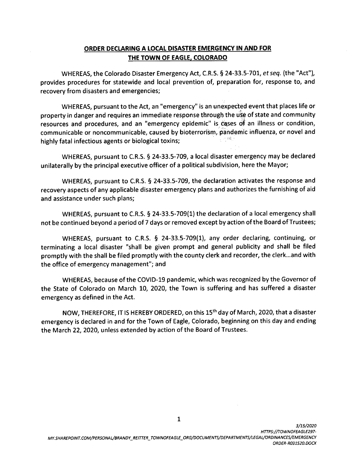## **ORDER DECLARING A LOCAL DISASTER EMERGENCY IN AND FOR THE TOWN OF EAGLE, COLORADO**

WHEREAS, the Colorado Disaster Emergency Act, C.R.S. § 24-33.5-701, *et seq.* (the "Act"), provides procedures for statewide and local prevention of, preparation for, response to, and recovery from disasters and emergencies;

WHEREAS, pursuant to the Act, an "emergency" is an unexpected event that places life or property in danger and requires an immediate response through the u5e of state and community resources and procedures, and an "emergency epidemic" is cases of an illness or condition, communicable or noncommunicable, caused by bioterrorism, pandemic influenza, or novel and  $\sim 3\%$ highly fatal infectious agents or biological toxins;

WHEREAS, pursuant to C.R.S. § 24-33.5-709, a local disaster emergency may be declared unilaterally by the principal executive officer of a political subdivision, here the Mayor;

WHEREAS, pursuant to C.R.S. § 24-33.5-709, the declaration activates the response and recovery aspects of any applicable disaster emergency plans and authorizes the furnishing of aid and assistance under such plans;

WHEREAS, pursuant to C.R.S. § 24-33.5-709(1) the declaration of a local emergency shall not be continued beyond a period of 7 days or removed except by action of the Board of Trustees;

WHEREAS, pursuant to C.R.S. § 24-33.5-709(1), any order declaring, continuing, or terminating a local disaster "shall be given prompt and general publicity and shall be filed promptly with the shall be filed promptly with the county clerk and recorder, the clerk... and with the office of emergency management"; and

WHEREAS, because of the COVID-19 pandemic, which was recognized by the Governor of the State of Colorado on March 10, 2020, the Town is suffering and has suffered a disaster emergency as defined in the Act.

NOW, THEREFORE, IT IS HEREBY ORDERED, on this 15th day of March, 2020, that a disaster emergency is declared in and for the Town of Eagle, Colorado, beginning on this day and ending the March 22, 2020, unless extended by action of the Board of Trustees.